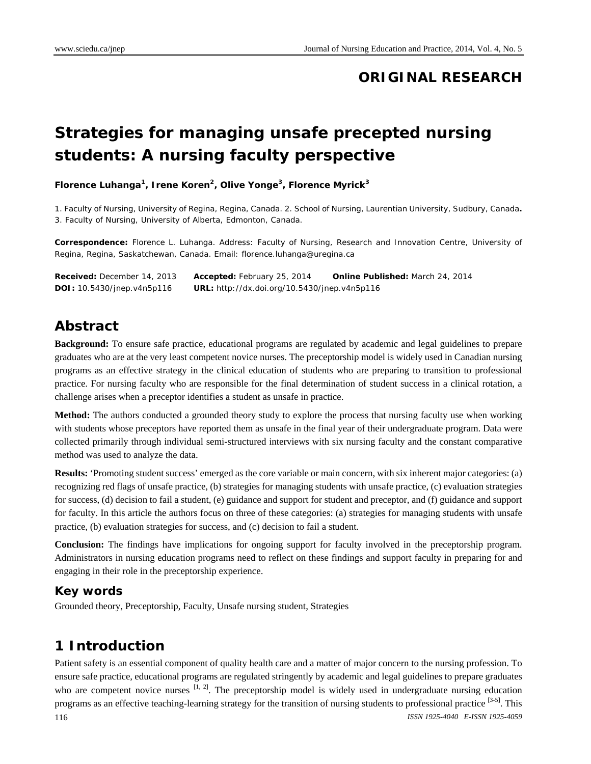### **ORIGINAL RESEARCH**

# **Strategies for managing unsafe precepted nursing students: A nursing faculty perspective**

Florence Luhanga<sup>1</sup>, Irene Koren<sup>2</sup>, Olive Yonge<sup>3</sup>, Florence Myrick<sup>3</sup>

1. Faculty of Nursing, University of Regina, Regina, Canada. 2. School of Nursing, Laurentian University, Sudbury, Canada**.**  3. Faculty of Nursing, University of Alberta, Edmonton, Canada.

**Correspondence:** Florence L. Luhanga. Address: Faculty of Nursing, Research and Innovation Centre, University of Regina, Regina, Saskatchewan, Canada. Email: florence.luhanga@uregina.ca

**Received:** December 14, 2013 **Accepted:** February 25, 2014 **Online Published:** March 24, 2014 **DOI:** 10.5430/jnep.v4n5p116 **URL:** http://dx.doi.org/10.5430/jnep.v4n5p116

#### **Abstract**

**Background:** To ensure safe practice, educational programs are regulated by academic and legal guidelines to prepare graduates who are at the very least competent novice nurses. The preceptorship model is widely used in Canadian nursing programs as an effective strategy in the clinical education of students who are preparing to transition to professional practice. For nursing faculty who are responsible for the final determination of student success in a clinical rotation, a challenge arises when a preceptor identifies a student as unsafe in practice.

**Method:** The authors conducted a grounded theory study to explore the process that nursing faculty use when working with students whose preceptors have reported them as unsafe in the final year of their undergraduate program. Data were collected primarily through individual semi-structured interviews with six nursing faculty and the constant comparative method was used to analyze the data.

**Results:** 'Promoting student success' emerged as the core variable or main concern, with six inherent major categories: (a) recognizing red flags of unsafe practice, (b) strategies for managing students with unsafe practice, (c) evaluation strategies for success, (d) decision to fail a student, (e) guidance and support for student and preceptor, and (f) guidance and support for faculty. In this article the authors focus on three of these categories: (a) strategies for managing students with unsafe practice, (b) evaluation strategies for success, and (c) decision to fail a student.

**Conclusion:** The findings have implications for ongoing support for faculty involved in the preceptorship program. Administrators in nursing education programs need to reflect on these findings and support faculty in preparing for and engaging in their role in the preceptorship experience.

#### **Key words**

Grounded theory, Preceptorship, Faculty, Unsafe nursing student, Strategies

### **1 Introduction**

116 *ISSN 1925-4040 E-ISSN 1925-4059*  Patient safety is an essential component of quality health care and a matter of major concern to the nursing profession. To ensure safe practice, educational programs are regulated stringently by academic and legal guidelines to prepare graduates who are competent novice nurses  $[1, 2]$ . The preceptorship model is widely used in undergraduate nursing education programs as an effective teaching-learning strategy for the transition of nursing students to professional practice  $[3-5]$ . This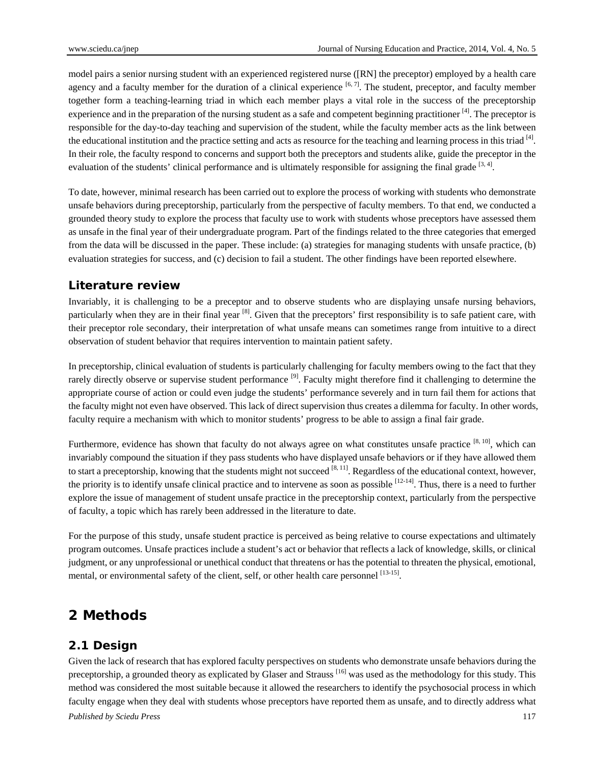model pairs a senior nursing student with an experienced registered nurse ([RN] the preceptor) employed by a health care agency and a faculty member for the duration of a clinical experience  $[6, 7]$ . The student, preceptor, and faculty member together form a teaching-learning triad in which each member plays a vital role in the success of the preceptorship experience and in the preparation of the nursing student as a safe and competent beginning practitioner  $[4]$ . The preceptor is responsible for the day-to-day teaching and supervision of the student, while the faculty member acts as the link between the educational institution and the practice setting and acts as resource for the teaching and learning process in this triad  $^{[4]}$ . In their role, the faculty respond to concerns and support both the preceptors and students alike, guide the preceptor in the evaluation of the students' clinical performance and is ultimately responsible for assigning the final grade [3,4].

To date, however, minimal research has been carried out to explore the process of working with students who demonstrate unsafe behaviors during preceptorship, particularly from the perspective of faculty members. To that end, we conducted a grounded theory study to explore the process that faculty use to work with students whose preceptors have assessed them as unsafe in the final year of their undergraduate program. Part of the findings related to the three categories that emerged from the data will be discussed in the paper. These include: (a) strategies for managing students with unsafe practice, (b) evaluation strategies for success, and (c) decision to fail a student. The other findings have been reported elsewhere.

#### **Literature review**

Invariably, it is challenging to be a preceptor and to observe students who are displaying unsafe nursing behaviors, particularly when they are in their final year  $[8]$ . Given that the preceptors' first responsibility is to safe patient care, with their preceptor role secondary, their interpretation of what unsafe means can sometimes range from intuitive to a direct observation of student behavior that requires intervention to maintain patient safety.

In preceptorship, clinical evaluation of students is particularly challenging for faculty members owing to the fact that they rarely directly observe or supervise student performance <sup>[9]</sup>. Faculty might therefore find it challenging to determine the appropriate course of action or could even judge the students' performance severely and in turn fail them for actions that the faculty might not even have observed. This lack of direct supervision thus creates a dilemma for faculty. In other words, faculty require a mechanism with which to monitor students' progress to be able to assign a final fair grade.

Furthermore, evidence has shown that faculty do not always agree on what constitutes unsafe practice [8, 10], which can invariably compound the situation if they pass students who have displayed unsafe behaviors or if they have allowed them to start a preceptorship, knowing that the students might not succeed  $[8, 11]$ . Regardless of the educational context, however, the priority is to identify unsafe clinical practice and to intervene as soon as possible  $[12-14]$ . Thus, there is a need to further explore the issue of management of student unsafe practice in the preceptorship context, particularly from the perspective of faculty, a topic which has rarely been addressed in the literature to date.

For the purpose of this study, unsafe student practice is perceived as being relative to course expectations and ultimately program outcomes. Unsafe practices include a student's act or behavior that reflects a lack of knowledge, skills, or clinical judgment, or any unprofessional or unethical conduct that threatens or has the potential to threaten the physical, emotional, mental, or environmental safety of the client, self, or other health care personnel  $^{[13-15]}$ .

### **2 Methods**

#### **2.1 Design**

*Published by Sciedu Press* 117 Given the lack of research that has explored faculty perspectives on students who demonstrate unsafe behaviors during the preceptorship, a grounded theory as explicated by Glaser and Strauss <sup>[16]</sup> was used as the methodology for this study. This method was considered the most suitable because it allowed the researchers to identify the psychosocial process in which faculty engage when they deal with students whose preceptors have reported them as unsafe, and to directly address what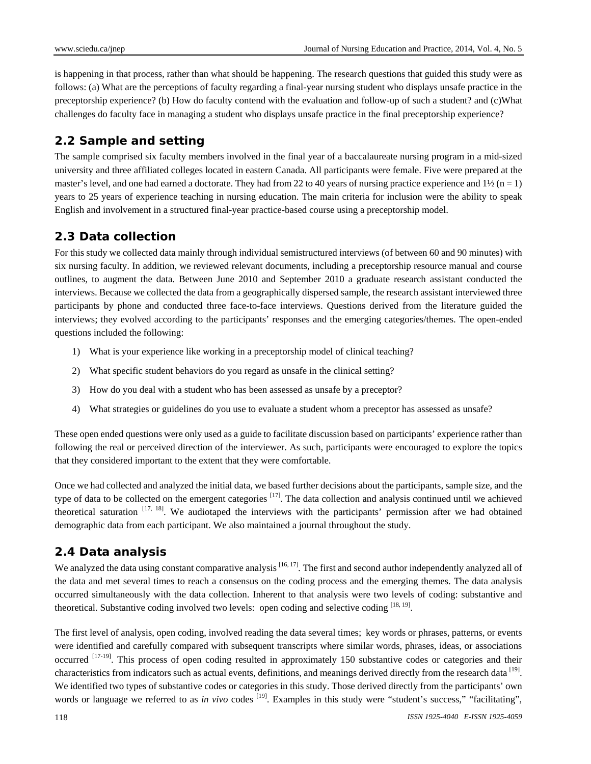is happening in that process, rather than what should be happening. The research questions that guided this study were as follows: (a) What are the perceptions of faculty regarding a final-year nursing student who displays unsafe practice in the preceptorship experience? (b) How do faculty contend with the evaluation and follow-up of such a student? and (c)What challenges do faculty face in managing a student who displays unsafe practice in the final preceptorship experience?

### **2.2 Sample and setting**

The sample comprised six faculty members involved in the final year of a baccalaureate nursing program in a mid-sized university and three affiliated colleges located in eastern Canada. All participants were female. Five were prepared at the master's level, and one had earned a doctorate. They had from 22 to 40 years of nursing practice experience and  $1\frac{1}{2}$  (n = 1) years to 25 years of experience teaching in nursing education. The main criteria for inclusion were the ability to speak English and involvement in a structured final-year practice-based course using a preceptorship model.

### **2.3 Data collection**

For this study we collected data mainly through individual semistructured interviews (of between 60 and 90 minutes) with six nursing faculty. In addition, we reviewed relevant documents, including a preceptorship resource manual and course outlines, to augment the data. Between June 2010 and September 2010 a graduate research assistant conducted the interviews. Because we collected the data from a geographically dispersed sample, the research assistant interviewed three participants by phone and conducted three face-to-face interviews. Questions derived from the literature guided the interviews; they evolved according to the participants' responses and the emerging categories/themes. The open-ended questions included the following:

- 1) What is your experience like working in a preceptorship model of clinical teaching?
- 2) What specific student behaviors do you regard as unsafe in the clinical setting?
- 3) How do you deal with a student who has been assessed as unsafe by a preceptor?
- 4) What strategies or guidelines do you use to evaluate a student whom a preceptor has assessed as unsafe?

These open ended questions were only used as a guide to facilitate discussion based on participants' experience rather than following the real or perceived direction of the interviewer. As such, participants were encouraged to explore the topics that they considered important to the extent that they were comfortable.

Once we had collected and analyzed the initial data, we based further decisions about the participants, sample size, and the type of data to be collected on the emergent categories  $[17]$ . The data collection and analysis continued until we achieved theoretical saturation  $^{[17, 18]}$ . We audiotaped the interviews with the participants' permission after we had obtained demographic data from each participant. We also maintained a journal throughout the study.

#### **2.4 Data analysis**

We analyzed the data using constant comparative analysis <sup>[16, 17]</sup>. The first and second author independently analyzed all of the data and met several times to reach a consensus on the coding process and the emerging themes. The data analysis occurred simultaneously with the data collection. Inherent to that analysis were two levels of coding: substantive and theoretical. Substantive coding involved two levels: open coding and selective coding [18, 19].

The first level of analysis, open coding, involved reading the data several times; key words or phrases, patterns, or events were identified and carefully compared with subsequent transcripts where similar words, phrases, ideas, or associations occurred <sup>[17-19]</sup>. This process of open coding resulted in approximately 150 substantive codes or categories and their characteristics from indicators such as actual events, definitions, and meanings derived directly from the research data [19]. We identified two types of substantive codes or categories in this study. Those derived directly from the participants' own words or language we referred to as *in vivo* codes <sup>[19]</sup>. Examples in this study were "student's success," "facilitating",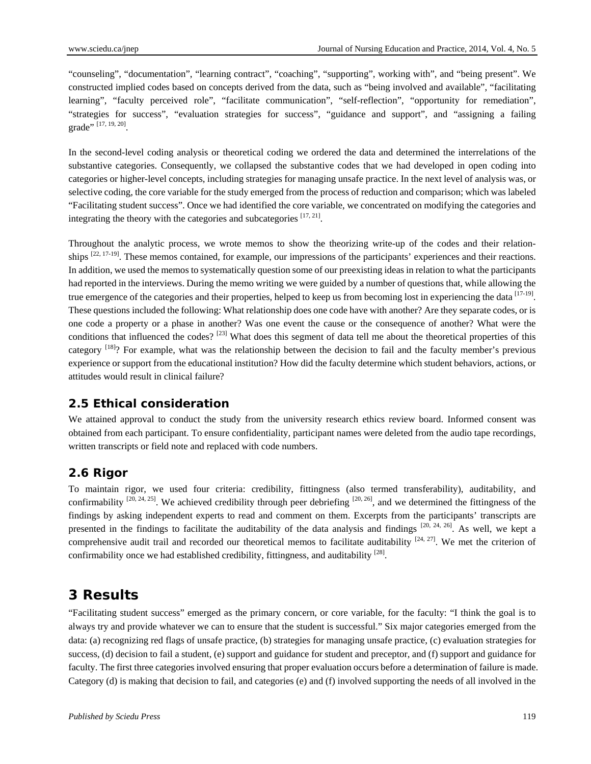"counseling", "documentation", "learning contract", "coaching", "supporting", working with", and "being present". We constructed implied codes based on concepts derived from the data, such as "being involved and available", "facilitating learning", "faculty perceived role", "facilitate communication", "self-reflection", "opportunity for remediation", "strategies for success", "evaluation strategies for success", "guidance and support", and "assigning a failing grade" [17, 19, 20].

In the second-level coding analysis or theoretical coding we ordered the data and determined the interrelations of the substantive categories. Consequently, we collapsed the substantive codes that we had developed in open coding into categories or higher-level concepts, including strategies for managing unsafe practice. In the next level of analysis was, or selective coding, the core variable for the study emerged from the process of reduction and comparison; which was labeled "Facilitating student success". Once we had identified the core variable, we concentrated on modifying the categories and integrating the theory with the categories and subcategories [17, 21].

Throughout the analytic process, we wrote memos to show the theorizing write-up of the codes and their relationships  $^{[22, 17-19]}$ . These memos contained, for example, our impressions of the participants' experiences and their reactions. In addition, we used the memos to systematically question some of our preexisting ideas in relation to what the participants had reported in the interviews. During the memo writing we were guided by a number of questions that, while allowing the true emergence of the categories and their properties, helped to keep us from becoming lost in experiencing the data [17-19]. These questions included the following: What relationship does one code have with another? Are they separate codes, or is one code a property or a phase in another? Was one event the cause or the consequence of another? What were the conditions that influenced the codes? <sup>[23]</sup> What does this segment of data tell me about the theoretical properties of this category <sup>[18]</sup>? For example, what was the relationship between the decision to fail and the faculty member's previous experience or support from the educational institution? How did the faculty determine which student behaviors, actions, or attitudes would result in clinical failure?

#### **2.5 Ethical consideration**

We attained approval to conduct the study from the university research ethics review board. Informed consent was obtained from each participant. To ensure confidentiality, participant names were deleted from the audio tape recordings, written transcripts or field note and replaced with code numbers.

#### **2.6 Rigor**

To maintain rigor, we used four criteria: credibility, fittingness (also termed transferability), auditability, and confirmability  $[20, 24, 25]$ . We achieved credibility through peer debriefing  $[20, 26]$ , and we determined the fittingness of the findings by asking independent experts to read and comment on them. Excerpts from the participants' transcripts are presented in the findings to facilitate the auditability of the data analysis and findings  $[20, 24, 26]$ . As well, we kept a comprehensive audit trail and recorded our theoretical memos to facilitate auditability  $[24, 27]$ . We met the criterion of confirmability once we had established credibility, fittingness, and auditability <sup>[28]</sup>.

### **3 Results**

"Facilitating student success" emerged as the primary concern, or core variable, for the faculty: "I think the goal is to always try and provide whatever we can to ensure that the student is successful." Six major categories emerged from the data: (a) recognizing red flags of unsafe practice, (b) strategies for managing unsafe practice, (c) evaluation strategies for success, (d) decision to fail a student, (e) support and guidance for student and preceptor, and (f) support and guidance for faculty. The first three categories involved ensuring that proper evaluation occurs before a determination of failure is made. Category (d) is making that decision to fail, and categories (e) and (f) involved supporting the needs of all involved in the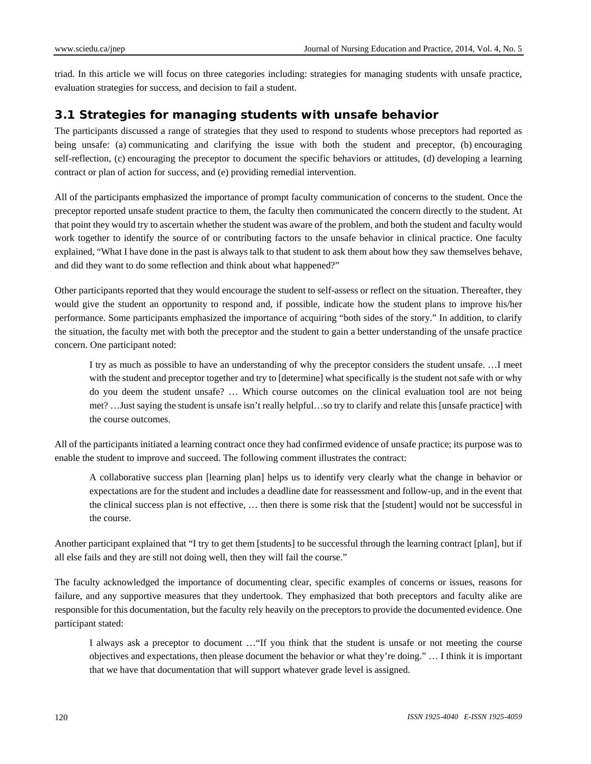triad. In this article we will focus on three categories including: strategies for managing students with unsafe practice, evaluation strategies for success, and decision to fail a student.

#### **3.1 Strategies for managing students with unsafe behavior**

The participants discussed a range of strategies that they used to respond to students whose preceptors had reported as being unsafe: (a) communicating and clarifying the issue with both the student and preceptor, (b) encouraging self-reflection, (c) encouraging the preceptor to document the specific behaviors or attitudes, (d) developing a learning contract or plan of action for success, and (e) providing remedial intervention.

All of the participants emphasized the importance of prompt faculty communication of concerns to the student. Once the preceptor reported unsafe student practice to them, the faculty then communicated the concern directly to the student. At that point they would try to ascertain whether the student was aware of the problem, and both the student and faculty would work together to identify the source of or contributing factors to the unsafe behavior in clinical practice. One faculty explained, "What I have done in the past is always talk to that student to ask them about how they saw themselves behave, and did they want to do some reflection and think about what happened?"

Other participants reported that they would encourage the student to self-assess or reflect on the situation. Thereafter, they would give the student an opportunity to respond and, if possible, indicate how the student plans to improve his/her performance. Some participants emphasized the importance of acquiring "both sides of the story." In addition, to clarify the situation, the faculty met with both the preceptor and the student to gain a better understanding of the unsafe practice concern. One participant noted:

I try as much as possible to have an understanding of why the preceptor considers the student unsafe. …I meet with the student and preceptor together and try to [determine] what specifically is the student not safe with or why do you deem the student unsafe? … Which course outcomes on the clinical evaluation tool are not being met? …Just saying the student is unsafe isn't really helpful…so try to clarify and relate this [unsafe practice] with the course outcomes.

All of the participants initiated a learning contract once they had confirmed evidence of unsafe practice; its purpose was to enable the student to improve and succeed. The following comment illustrates the contract:

A collaborative success plan [learning plan] helps us to identify very clearly what the change in behavior or expectations are for the student and includes a deadline date for reassessment and follow-up, and in the event that the clinical success plan is not effective, … then there is some risk that the [student] would not be successful in the course.

Another participant explained that "I try to get them [students] to be successful through the learning contract [plan], but if all else fails and they are still not doing well, then they will fail the course."

The faculty acknowledged the importance of documenting clear, specific examples of concerns or issues, reasons for failure, and any supportive measures that they undertook. They emphasized that both preceptors and faculty alike are responsible for this documentation, but the faculty rely heavily on the preceptors to provide the documented evidence. One participant stated:

I always ask a preceptor to document …"If you think that the student is unsafe or not meeting the course objectives and expectations, then please document the behavior or what they're doing." … I think it is important that we have that documentation that will support whatever grade level is assigned.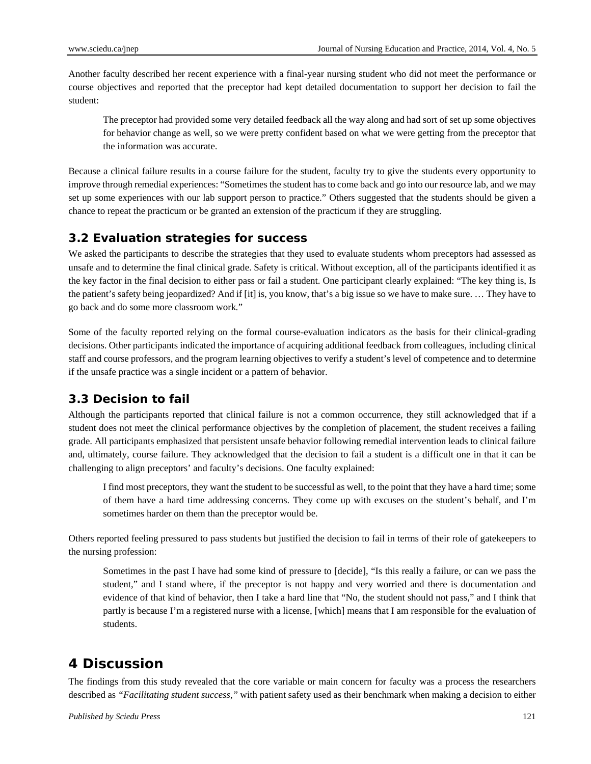Another faculty described her recent experience with a final-year nursing student who did not meet the performance or course objectives and reported that the preceptor had kept detailed documentation to support her decision to fail the student:

The preceptor had provided some very detailed feedback all the way along and had sort of set up some objectives for behavior change as well, so we were pretty confident based on what we were getting from the preceptor that the information was accurate.

Because a clinical failure results in a course failure for the student, faculty try to give the students every opportunity to improve through remedial experiences: "Sometimes the student has to come back and go into our resource lab, and we may set up some experiences with our lab support person to practice." Others suggested that the students should be given a chance to repeat the practicum or be granted an extension of the practicum if they are struggling.

#### **3.2 Evaluation strategies for success**

We asked the participants to describe the strategies that they used to evaluate students whom preceptors had assessed as unsafe and to determine the final clinical grade. Safety is critical. Without exception, all of the participants identified it as the key factor in the final decision to either pass or fail a student. One participant clearly explained: "The key thing is, Is the patient's safety being jeopardized? And if [it] is, you know, that's a big issue so we have to make sure. … They have to go back and do some more classroom work*.*"

Some of the faculty reported relying on the formal course-evaluation indicators as the basis for their clinical-grading decisions. Other participants indicated the importance of acquiring additional feedback from colleagues, including clinical staff and course professors, and the program learning objectives to verify a student's level of competence and to determine if the unsafe practice was a single incident or a pattern of behavior.

#### **3.3 Decision to fail**

Although the participants reported that clinical failure is not a common occurrence, they still acknowledged that if a student does not meet the clinical performance objectives by the completion of placement, the student receives a failing grade. All participants emphasized that persistent unsafe behavior following remedial intervention leads to clinical failure and, ultimately, course failure. They acknowledged that the decision to fail a student is a difficult one in that it can be challenging to align preceptors' and faculty's decisions. One faculty explained:

I find most preceptors, they want the student to be successful as well, to the point that they have a hard time; some of them have a hard time addressing concerns. They come up with excuses on the student's behalf, and I'm sometimes harder on them than the preceptor would be.

Others reported feeling pressured to pass students but justified the decision to fail in terms of their role of gatekeepers to the nursing profession:

Sometimes in the past I have had some kind of pressure to [decide], "Is this really a failure, or can we pass the student," and I stand where, if the preceptor is not happy and very worried and there is documentation and evidence of that kind of behavior, then I take a hard line that "No, the student should not pass," and I think that partly is because I'm a registered nurse with a license, [which] means that I am responsible for the evaluation of students.

# **4 Discussion**

The findings from this study revealed that the core variable or main concern for faculty was a process the researchers described as *"Facilitating student success,"* with patient safety used as their benchmark when making a decision to either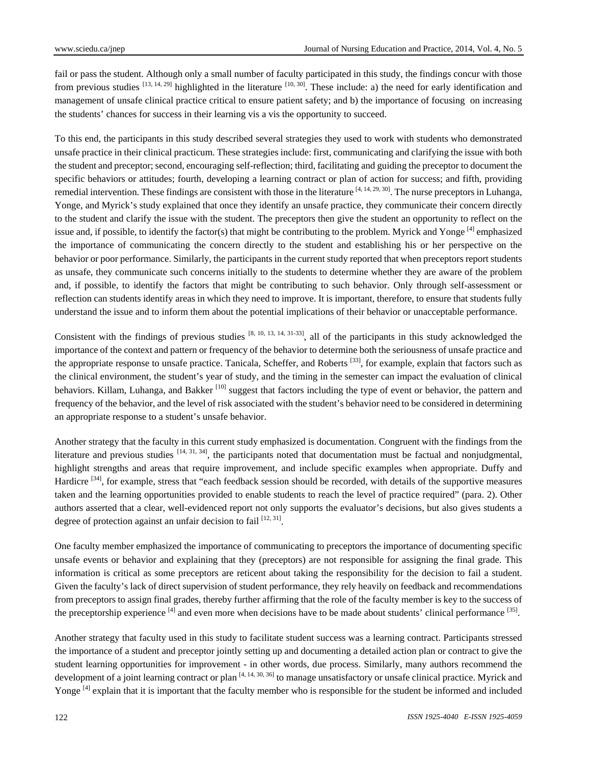fail or pass the student. Although only a small number of faculty participated in this study, the findings concur with those from previous studies  $^{[13, 14, 29]}$  highlighted in the literature  $^{[10, 30]}$ . These include: a) the need for early identification and management of unsafe clinical practice critical to ensure patient safety; and b) the importance of focusing on increasing the students' chances for success in their learning vis a vis the opportunity to succeed.

To this end, the participants in this study described several strategies they used to work with students who demonstrated unsafe practice in their clinical practicum. These strategies include: first, communicating and clarifying the issue with both the student and preceptor; second, encouraging self-reflection; third, facilitating and guiding the preceptor to document the specific behaviors or attitudes; fourth, developing a learning contract or plan of action for success; and fifth, providing remedial intervention. These findings are consistent with those in the literature  $[4, 14, 29, 30]$ . The nurse preceptors in Luhanga, Yonge, and Myrick's study explained that once they identify an unsafe practice, they communicate their concern directly to the student and clarify the issue with the student. The preceptors then give the student an opportunity to reflect on the issue and, if possible, to identify the factor(s) that might be contributing to the problem. Myrick and Yonge  $^{[4]}$  emphasized the importance of communicating the concern directly to the student and establishing his or her perspective on the behavior or poor performance. Similarly, the participants in the current study reported that when preceptors report students as unsafe, they communicate such concerns initially to the students to determine whether they are aware of the problem and, if possible, to identify the factors that might be contributing to such behavior. Only through self-assessment or reflection can students identify areas in which they need to improve. It is important, therefore, to ensure that students fully understand the issue and to inform them about the potential implications of their behavior or unacceptable performance.

Consistent with the findings of previous studies  $[8, 10, 13, 14, 31-33]$ , all of the participants in this study acknowledged the importance of the context and pattern or frequency of the behavior to determine both the seriousness of unsafe practice and the appropriate response to unsafe practice. Tanicala, Scheffer, and Roberts <sup>[33]</sup>, for example, explain that factors such as the clinical environment, the student's year of study, and the timing in the semester can impact the evaluation of clinical behaviors. Killam, Luhanga, and Bakker<sup>[10]</sup> suggest that factors including the type of event or behavior, the pattern and frequency of the behavior, and the level of risk associated with the student's behavior need to be considered in determining an appropriate response to a student's unsafe behavior.

Another strategy that the faculty in this current study emphasized is documentation. Congruent with the findings from the literature and previous studies  $[14, 31, 34]$ , the participants noted that documentation must be factual and nonjudgmental, highlight strengths and areas that require improvement, and include specific examples when appropriate. Duffy and Hardicre <sup>[34]</sup>, for example, stress that "each feedback session should be recorded, with details of the supportive measures taken and the learning opportunities provided to enable students to reach the level of practice required" (para. 2). Other authors asserted that a clear, well-evidenced report not only supports the evaluator's decisions, but also gives students a degree of protection against an unfair decision to fail  $[12, 31]$ .

One faculty member emphasized the importance of communicating to preceptors the importance of documenting specific unsafe events or behavior and explaining that they (preceptors) are not responsible for assigning the final grade. This information is critical as some preceptors are reticent about taking the responsibility for the decision to fail a student. Given the faculty's lack of direct supervision of student performance, they rely heavily on feedback and recommendations from preceptors to assign final grades, thereby further affirming that the role of the faculty member is key to the success of the preceptorship experience  $[4]$  and even more when decisions have to be made about students' clinical performance  $[35]$ .

Another strategy that faculty used in this study to facilitate student success was a learning contract. Participants stressed the importance of a student and preceptor jointly setting up and documenting a detailed action plan or contract to give the student learning opportunities for improvement - in other words, due process. Similarly, many authors recommend the development of a joint learning contract or plan  $[4, 14, 30, 36]$  to manage unsatisfactory or unsafe clinical practice. Myrick and Yonge <sup>[4]</sup> explain that it is important that the faculty member who is responsible for the student be informed and included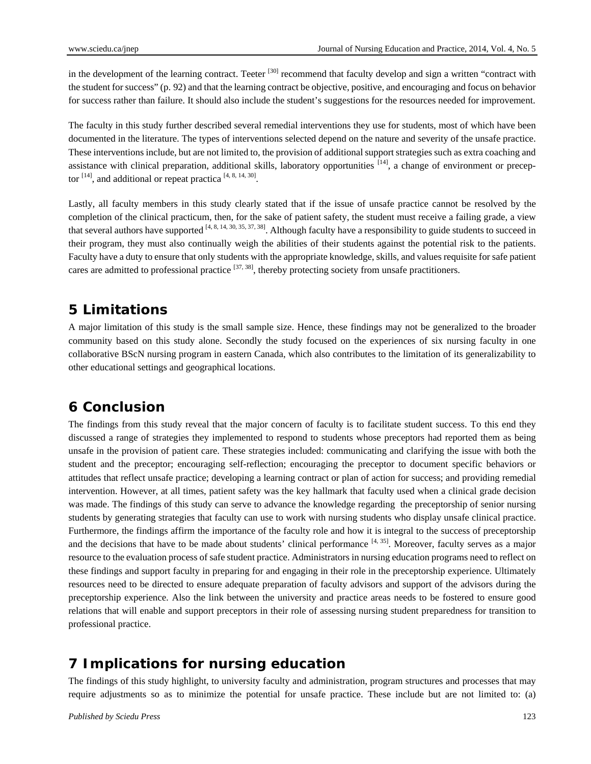in the development of the learning contract. Teeter <sup>[30]</sup> recommend that faculty develop and sign a written "contract with the student for success" (p. 92) and that the learning contract be objective, positive, and encouraging and focus on behavior for success rather than failure. It should also include the student's suggestions for the resources needed for improvement.

The faculty in this study further described several remedial interventions they use for students, most of which have been documented in the literature. The types of interventions selected depend on the nature and severity of the unsafe practice. These interventions include, but are not limited to, the provision of additional support strategies such as extra coaching and assistance with clinical preparation, additional skills, laboratory opportunities  $[14]$ , a change of environment or preceptor  $[14]$ , and additional or repeat practica  $[4, 8, 14, 30]$ .

Lastly, all faculty members in this study clearly stated that if the issue of unsafe practice cannot be resolved by the completion of the clinical practicum, then, for the sake of patient safety, the student must receive a failing grade, a view that several authors have supported  $[4, 8, 14, 30, 35, 37, 38]$ . Although faculty have a responsibility to guide students to succeed in their program, they must also continually weigh the abilities of their students against the potential risk to the patients. Faculty have a duty to ensure that only students with the appropriate knowledge, skills, and values requisite for safe patient cares are admitted to professional practice  $[37, 38]$ , thereby protecting society from unsafe practitioners.

## **5 Limitations**

A major limitation of this study is the small sample size. Hence, these findings may not be generalized to the broader community based on this study alone. Secondly the study focused on the experiences of six nursing faculty in one collaborative BScN nursing program in eastern Canada, which also contributes to the limitation of its generalizability to other educational settings and geographical locations.

# **6 Conclusion**

The findings from this study reveal that the major concern of faculty is to facilitate student success. To this end they discussed a range of strategies they implemented to respond to students whose preceptors had reported them as being unsafe in the provision of patient care. These strategies included: communicating and clarifying the issue with both the student and the preceptor; encouraging self-reflection; encouraging the preceptor to document specific behaviors or attitudes that reflect unsafe practice; developing a learning contract or plan of action for success; and providing remedial intervention. However, at all times, patient safety was the key hallmark that faculty used when a clinical grade decision was made. The findings of this study can serve to advance the knowledge regarding the preceptorship of senior nursing students by generating strategies that faculty can use to work with nursing students who display unsafe clinical practice. Furthermore, the findings affirm the importance of the faculty role and how it is integral to the success of preceptorship and the decisions that have to be made about students' clinical performance  $[4, 35]$ . Moreover, faculty serves as a major resource to the evaluation process of safe student practice. Administrators in nursing education programs need to reflect on these findings and support faculty in preparing for and engaging in their role in the preceptorship experience. Ultimately resources need to be directed to ensure adequate preparation of faculty advisors and support of the advisors during the preceptorship experience. Also the link between the university and practice areas needs to be fostered to ensure good relations that will enable and support preceptors in their role of assessing nursing student preparedness for transition to professional practice.

# **7 Implications for nursing education**

The findings of this study highlight, to university faculty and administration, program structures and processes that may require adjustments so as to minimize the potential for unsafe practice. These include but are not limited to: (a)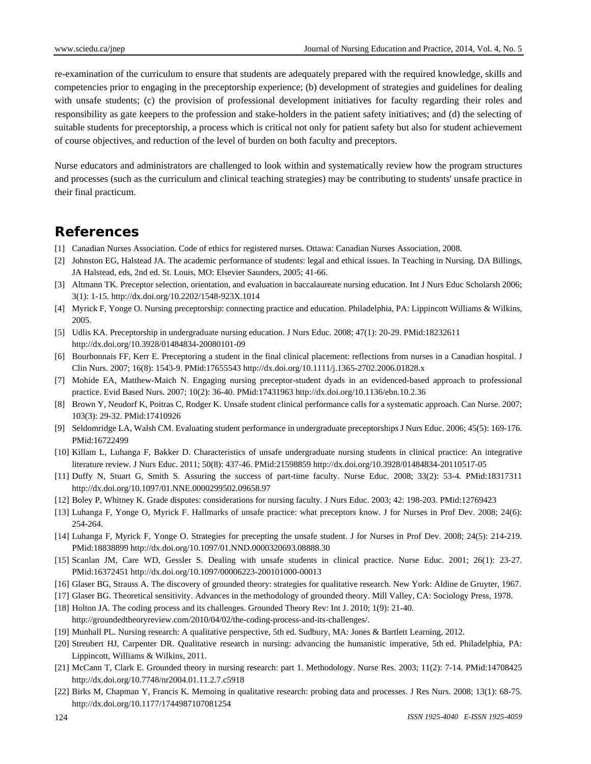re-examination of the curriculum to ensure that students are adequately prepared with the required knowledge, skills and competencies prior to engaging in the preceptorship experience; (b) development of strategies and guidelines for dealing with unsafe students; (c) the provision of professional development initiatives for faculty regarding their roles and responsibility as gate keepers to the profession and stake-holders in the patient safety initiatives; and (d) the selecting of suitable students for preceptorship, a process which is critical not only for patient safety but also for student achievement of course objectives, and reduction of the level of burden on both faculty and preceptors.

Nurse educators and administrators are challenged to look within and systematically review how the program structures and processes (such as the curriculum and clinical teaching strategies) may be contributing to students' unsafe practice in their final practicum.

### **References**

- [1] Canadian Nurses Association. Code of ethics for registered nurses. Ottawa: Canadian Nurses Association, 2008.
- [2] Johnston EG, Halstead JA. The academic performance of students: legal and ethical issues. In Teaching in Nursing. DA Billings, JA Halstead, eds, 2nd ed. St. Louis, MO: Elsevier Saunders, 2005; 41-66.
- [3] Altmann TK. Preceptor selection, orientation, and evaluation in baccalaureate nursing education. Int J Nurs Educ Scholarsh 2006; 3(1): 1-15. http://dx.doi.org/10.2202/1548-923X.1014
- [4] Myrick F, Yonge O. Nursing preceptorship: connecting practice and education. Philadelphia, PA: Lippincott Williams & Wilkins, 2005.
- [5] Udlis KA. Preceptorship in undergraduate nursing education. J Nurs Educ. 2008; 47(1): 20-29. PMid:18232611 http://dx.doi.org/10.3928/01484834-20080101-09
- [6] Bourbonnais FF, Kerr E. Preceptoring a student in the final clinical placement: reflections from nurses in a Canadian hospital. J Clin Nurs. 2007; 16(8): 1543-9. PMid:17655543 http://dx.doi.org/10.1111/j.1365-2702.2006.01828.x
- [7] Mohide EA, Matthew-Maich N. Engaging nursing preceptor-student dyads in an evidenced-based approach to professional practice. Evid Based Nurs. 2007; 10(2): 36-40. PMid:17431963 http://dx.doi.org/10.1136/ebn.10.2.36
- [8] Brown Y, Neudorf K, Poitras C, Rodger K. Unsafe student clinical performance calls for a systematic approach. Can Nurse. 2007; 103(3): 29-32. PMid:17410926
- [9] Seldomridge LA, Walsh CM. Evaluating student performance in undergraduate preceptorships J Nurs Educ. 2006; 45(5): 169-176. PMid:16722499
- [10] Killam L, Luhanga F, Bakker D. Characteristics of unsafe undergraduate nursing students in clinical practice: An integrative literature review. J Nurs Educ. 2011; 50(8): 437-46. PMid:21598859 http://dx.doi.org/10.3928/01484834-20110517-05
- [11] Duffy N, Stuart G, Smith S. Assuring the success of part-time faculty. Nurse Educ. 2008; 33(2): 53-4. PMid:18317311 http://dx.doi.org/10.1097/01.NNE.0000299502.09658.97
- [12] Boley P, Whitney K. Grade disputes: considerations for nursing faculty. J Nurs Educ. 2003; 42: 198-203. PMid:12769423
- [13] Luhanga F, Yonge O, Myrick F. Hallmarks of unsafe practice: what preceptors know. J for Nurses in Prof Dev. 2008; 24(6): 254-264.
- [14] Luhanga F, Myrick F, Yonge O. Strategies for precepting the unsafe student. J for Nurses in Prof Dev. 2008; 24(5): 214-219. PMid:18838899 http://dx.doi.org/10.1097/01.NND.0000320693.08888.30
- [15] Scanlan JM, Care WD, Gessler S. Dealing with unsafe students in clinical practice. Nurse Educ. 2001; 26(1): 23-27. PMid:16372451 http://dx.doi.org/10.1097/00006223-200101000-00013
- [16] Glaser BG, Strauss A. The discovery of grounded theory: strategies for qualitative research. New York: Aldine de Gruyter, 1967.
- [17] Glaser BG. Theoretical sensitivity. Advances in the methodology of grounded theory. Mill Valley, CA: Sociology Press, 1978.
- [18] Holton JA. The coding process and its challenges. Grounded Theory Rev: Int J. 2010; 1(9): 21-40. http://groundedtheoryreview.com/2010/04/02/the-coding-process-and-its-challenges/.
- [19] Munhall PL. Nursing research: A qualitative perspective, 5th ed. Sudbury, MA: Jones & Bartlett Learning, 2012.
- [20] Streubert HJ, Carpenter DR. Qualitative research in nursing: advancing the humanistic imperative, 5th ed. Philadelphia, PA: Lippincott, Williams & Wilkins, 2011.
- [21] McCann T, Clark E. Grounded theory in nursing research: part 1. Methodology. Nurse Res. 2003; 11(2): 7-14. PMid:14708425 http://dx.doi.org/10.7748/nr2004.01.11.2.7.c5918
- [22] Birks M, Chapman Y, Francis K. Memoing in qualitative research: probing data and processes. J Res Nurs. 2008; 13(1): 68-75. http://dx.doi.org/10.1177/1744987107081254